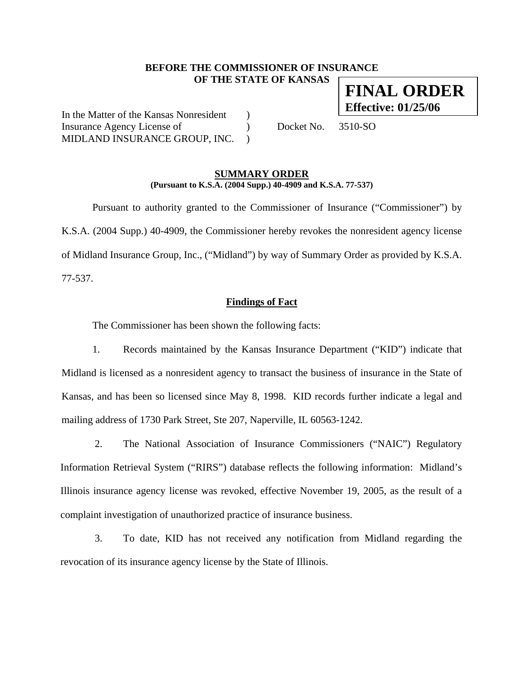## **BEFORE THE COMMISSIONER OF INSURANCE OF THE STATE OF KANSAS**

In the Matter of the Kansas Nonresident ) Insurance Agency License of  $Docket No. 3510-SO$ MIDLAND INSURANCE GROUP, INC. )

## **SUMMARY ORDER (Pursuant to K.S.A. (2004 Supp.) 40-4909 and K.S.A. 77-537)**

 Pursuant to authority granted to the Commissioner of Insurance ("Commissioner") by K.S.A. (2004 Supp.) 40-4909, the Commissioner hereby revokes the nonresident agency license of Midland Insurance Group, Inc., ("Midland") by way of Summary Order as provided by K.S.A. 77-537.

## **Findings of Fact**

The Commissioner has been shown the following facts:

1. Records maintained by the Kansas Insurance Department ("KID") indicate that Midland is licensed as a nonresident agency to transact the business of insurance in the State of Kansas, and has been so licensed since May 8, 1998. KID records further indicate a legal and mailing address of 1730 Park Street, Ste 207, Naperville, IL 60563-1242.

2. The National Association of Insurance Commissioners ("NAIC") Regulatory Information Retrieval System ("RIRS") database reflects the following information: Midland's Illinois insurance agency license was revoked, effective November 19, 2005, as the result of a complaint investigation of unauthorized practice of insurance business.

3. To date, KID has not received any notification from Midland regarding the revocation of its insurance agency license by the State of Illinois.

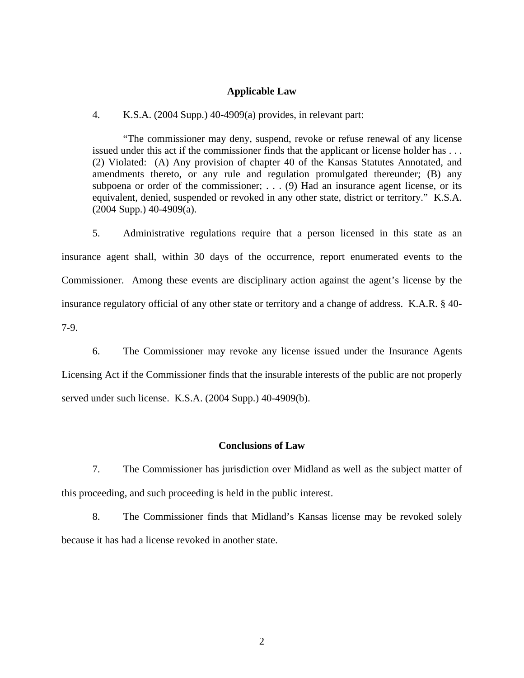## **Applicable Law**

## 4. K.S.A. (2004 Supp.) 40-4909(a) provides, in relevant part:

"The commissioner may deny, suspend, revoke or refuse renewal of any license issued under this act if the commissioner finds that the applicant or license holder has . . . (2) Violated: (A) Any provision of chapter 40 of the Kansas Statutes Annotated, and amendments thereto, or any rule and regulation promulgated thereunder; (B) any subpoena or order of the commissioner; . . . (9) Had an insurance agent license, or its equivalent, denied, suspended or revoked in any other state, district or territory." K.S.A. (2004 Supp.) 40-4909(a).

5. Administrative regulations require that a person licensed in this state as an insurance agent shall, within 30 days of the occurrence, report enumerated events to the Commissioner. Among these events are disciplinary action against the agent's license by the insurance regulatory official of any other state or territory and a change of address. K.A.R. § 40- 7-9.

6. The Commissioner may revoke any license issued under the Insurance Agents Licensing Act if the Commissioner finds that the insurable interests of the public are not properly served under such license. K.S.A. (2004 Supp.) 40-4909(b).

#### **Conclusions of Law**

7. The Commissioner has jurisdiction over Midland as well as the subject matter of this proceeding, and such proceeding is held in the public interest.

8. The Commissioner finds that Midland's Kansas license may be revoked solely because it has had a license revoked in another state.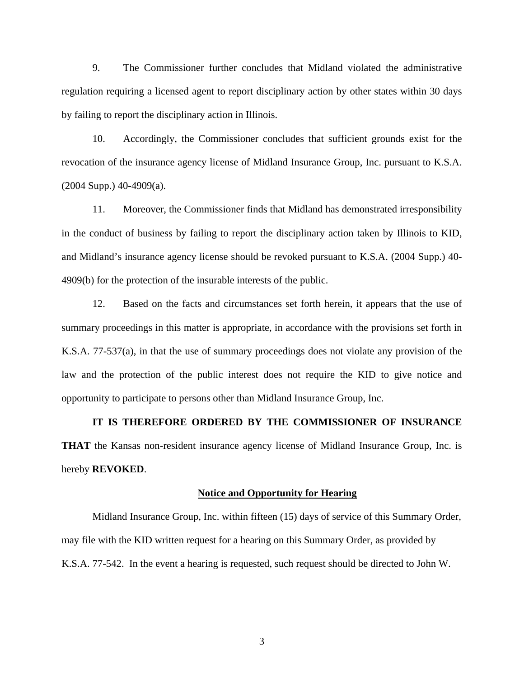9. The Commissioner further concludes that Midland violated the administrative regulation requiring a licensed agent to report disciplinary action by other states within 30 days by failing to report the disciplinary action in Illinois.

10. Accordingly, the Commissioner concludes that sufficient grounds exist for the revocation of the insurance agency license of Midland Insurance Group, Inc. pursuant to K.S.A.  $(2004$  Supp.)  $40-4909(a)$ .

11. Moreover, the Commissioner finds that Midland has demonstrated irresponsibility in the conduct of business by failing to report the disciplinary action taken by Illinois to KID, and Midland's insurance agency license should be revoked pursuant to K.S.A. (2004 Supp.) 40- 4909(b) for the protection of the insurable interests of the public.

12. Based on the facts and circumstances set forth herein, it appears that the use of summary proceedings in this matter is appropriate, in accordance with the provisions set forth in K.S.A. 77-537(a), in that the use of summary proceedings does not violate any provision of the law and the protection of the public interest does not require the KID to give notice and opportunity to participate to persons other than Midland Insurance Group, Inc.

**IT IS THEREFORE ORDERED BY THE COMMISSIONER OF INSURANCE THAT** the Kansas non-resident insurance agency license of Midland Insurance Group, Inc. is hereby **REVOKED**.

#### **Notice and Opportunity for Hearing**

Midland Insurance Group, Inc. within fifteen (15) days of service of this Summary Order, may file with the KID written request for a hearing on this Summary Order, as provided by K.S.A. 77-542. In the event a hearing is requested, such request should be directed to John W.

3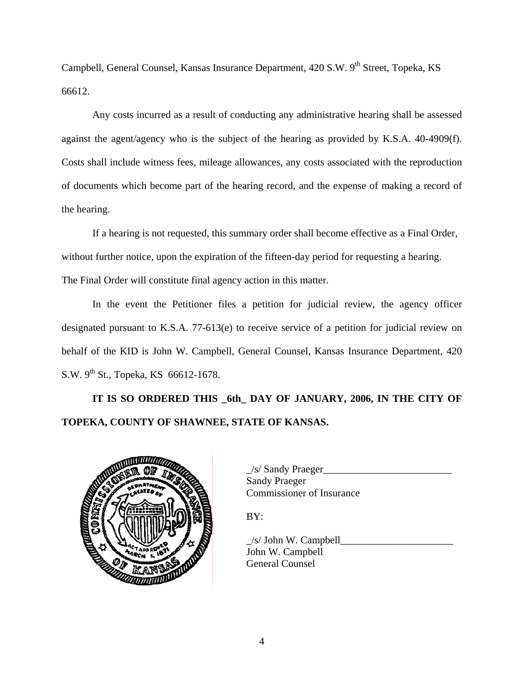Campbell, General Counsel, Kansas Insurance Department, 420 S.W. 9<sup>th</sup> Street, Topeka, KS 66612.

 Any costs incurred as a result of conducting any administrative hearing shall be assessed against the agent/agency who is the subject of the hearing as provided by K.S.A. 40-4909(f). Costs shall include witness fees, mileage allowances, any costs associated with the reproduction of documents which become part of the hearing record, and the expense of making a record of the hearing.

If a hearing is not requested, this summary order shall become effective as a Final Order, without further notice, upon the expiration of the fifteen-day period for requesting a hearing. The Final Order will constitute final agency action in this matter.

In the event the Petitioner files a petition for judicial review, the agency officer designated pursuant to K.S.A. 77-613(e) to receive service of a petition for judicial review on behalf of the KID is John W. Campbell, General Counsel, Kansas Insurance Department, 420 S.W.  $9^{th}$  St., Topeka, KS 66612-1678.

**IT IS SO ORDERED THIS \_6th\_ DAY OF JANUARY, 2006, IN THE CITY OF TOPEKA, COUNTY OF SHAWNEE, STATE OF KANSAS.** 



| <b>UNITED OF TAX</b> | /s/ Sandy Praeger         |
|----------------------|---------------------------|
|                      | <b>Sandy Praeger</b>      |
|                      | Commissioner of Insurance |

BY:

 $\angle$ s/ John W. Campbell John W. Campbell General Counsel